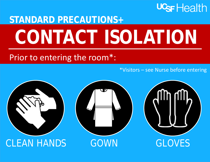## UGF Health

## **STANDARD PRECAUTIONS+ CONTACT ISOLATION**

## Prior to entering the room\*:

\*Visitors – see Nurse before entering